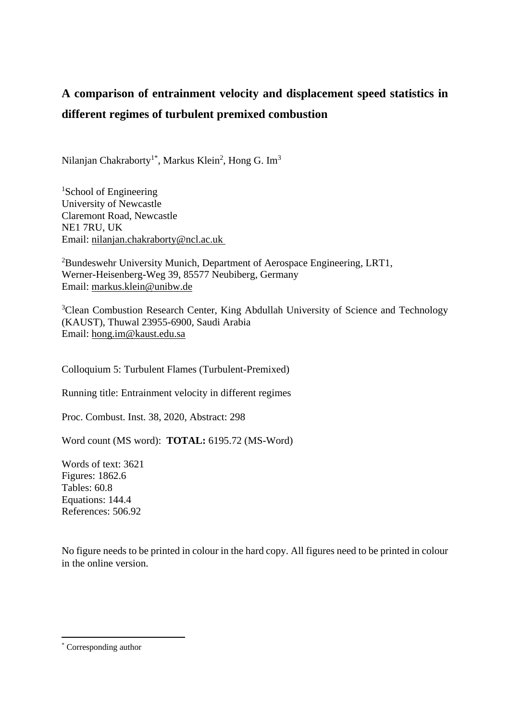# **A comparison of entrainment velocity and displacement speed statistics in different regimes of turbulent premixed combustion**

Nilanjan Chakraborty<sup>1\*</sup>, Markus Klein<sup>2</sup>, Hong G. Im<sup>3</sup>

<sup>1</sup>School of Engineering University of Newcastle Claremont Road, Newcastle NE1 7RU, UK Email: nilanjan.chakraborty@ncl.ac.uk

<sup>2</sup>Bundeswehr University Munich, Department of Aerospace Engineering, LRT1, Werner-Heisenberg-Weg 39, 85577 Neubiberg, Germany Email: markus.klein@unibw.de

<sup>3</sup>Clean Combustion Research Center, King Abdullah University of Science and Technology (KAUST), Thuwal 23955-6900, Saudi Arabia Email: [hong.im@kaust.edu.sa](mailto:hong.im@kaust.edu.sa)

Colloquium 5: Turbulent Flames (Turbulent-Premixed)

Running title: Entrainment velocity in different regimes

Proc. Combust. Inst. 38, 2020, Abstract: 298

Word count (MS word): **TOTAL:** 6195.72 (MS-Word)

Words of text: 3621 Figures: 1862.6 Tables: 60.8 Equations: 144.4 References: 506.92

No figure needs to be printed in colour in the hard copy. All figures need to be printed in colour in the online version.

<sup>\*</sup> Corresponding author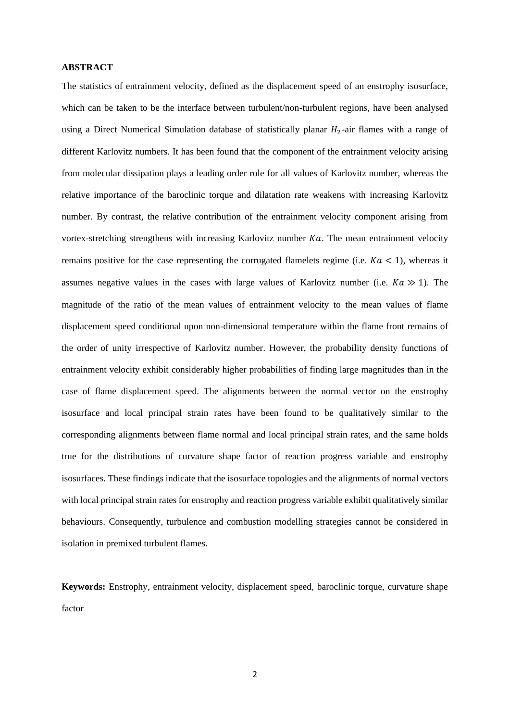#### **ABSTRACT**

The statistics of entrainment velocity, defined as the displacement speed of an enstrophy isosurface, which can be taken to be the interface between turbulent/non-turbulent regions, have been analysed using a Direct Numerical Simulation database of statistically planar  $H_2$ -air flames with a range of different Karlovitz numbers. It has been found that the component of the entrainment velocity arising from molecular dissipation plays a leading order role for all values of Karlovitz number, whereas the relative importance of the baroclinic torque and dilatation rate weakens with increasing Karlovitz number. By contrast, the relative contribution of the entrainment velocity component arising from vortex-stretching strengthens with increasing Karlovitz number  $Ka$ . The mean entrainment velocity remains positive for the case representing the corrugated flamelets regime (i.e.  $Ka < 1$ ), whereas it assumes negative values in the cases with large values of Karlovitz number (i.e.  $Ka \gg 1$ ). The magnitude of the ratio of the mean values of entrainment velocity to the mean values of flame displacement speed conditional upon non-dimensional temperature within the flame front remains of the order of unity irrespective of Karlovitz number. However, the probability density functions of entrainment velocity exhibit considerably higher probabilities of finding large magnitudes than in the case of flame displacement speed. The alignments between the normal vector on the enstrophy isosurface and local principal strain rates have been found to be qualitatively similar to the corresponding alignments between flame normal and local principal strain rates, and the same holds true for the distributions of curvature shape factor of reaction progress variable and enstrophy isosurfaces. These findings indicate that the isosurface topologies and the alignments of normal vectors with local principal strain rates for enstrophy and reaction progress variable exhibit qualitatively similar behaviours. Consequently, turbulence and combustion modelling strategies cannot be considered in isolation in premixed turbulent flames.

**Keywords:** Enstrophy, entrainment velocity, displacement speed, baroclinic torque, curvature shape factor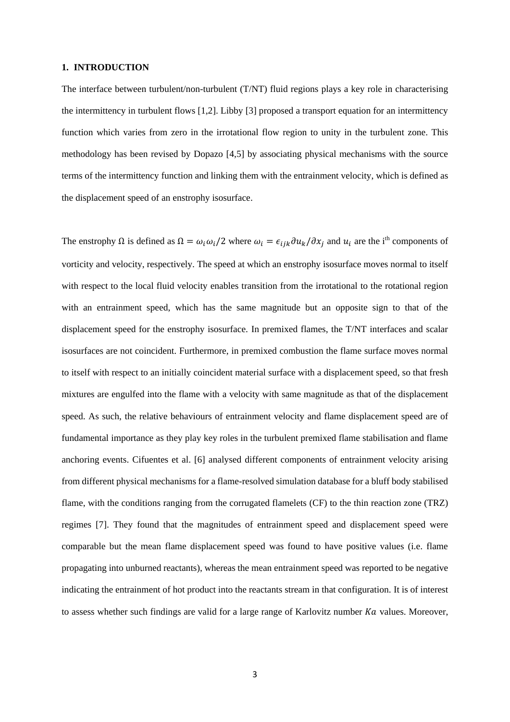#### **1. INTRODUCTION**

The interface between turbulent/non-turbulent (T/NT) fluid regions plays a key role in characterising the intermittency in turbulent flows [1,2]. Libby [3] proposed a transport equation for an intermittency function which varies from zero in the irrotational flow region to unity in the turbulent zone. This methodology has been revised by Dopazo [4,5] by associating physical mechanisms with the source terms of the intermittency function and linking them with the entrainment velocity, which is defined as the displacement speed of an enstrophy isosurface.

The enstrophy  $\Omega$  is defined as  $\Omega = \omega_i \omega_i/2$  where  $\omega_i = \epsilon_{ijk} \partial u_k / \partial x_j$  and  $u_i$  are the i<sup>th</sup> components of vorticity and velocity, respectively. The speed at which an enstrophy isosurface moves normal to itself with respect to the local fluid velocity enables transition from the irrotational to the rotational region with an entrainment speed, which has the same magnitude but an opposite sign to that of the displacement speed for the enstrophy isosurface. In premixed flames, the T/NT interfaces and scalar isosurfaces are not coincident. Furthermore, in premixed combustion the flame surface moves normal to itself with respect to an initially coincident material surface with a displacement speed, so that fresh mixtures are engulfed into the flame with a velocity with same magnitude as that of the displacement speed. As such, the relative behaviours of entrainment velocity and flame displacement speed are of fundamental importance as they play key roles in the turbulent premixed flame stabilisation and flame anchoring events. Cifuentes et al. [6] analysed different components of entrainment velocity arising from different physical mechanisms for a flame-resolved simulation database for a bluff body stabilised flame, with the conditions ranging from the corrugated flamelets (CF) to the thin reaction zone (TRZ) regimes [7]. They found that the magnitudes of entrainment speed and displacement speed were comparable but the mean flame displacement speed was found to have positive values (i.e. flame propagating into unburned reactants), whereas the mean entrainment speed was reported to be negative indicating the entrainment of hot product into the reactants stream in that configuration. It is of interest to assess whether such findings are valid for a large range of Karlovitz number  $Ka$  values. Moreover,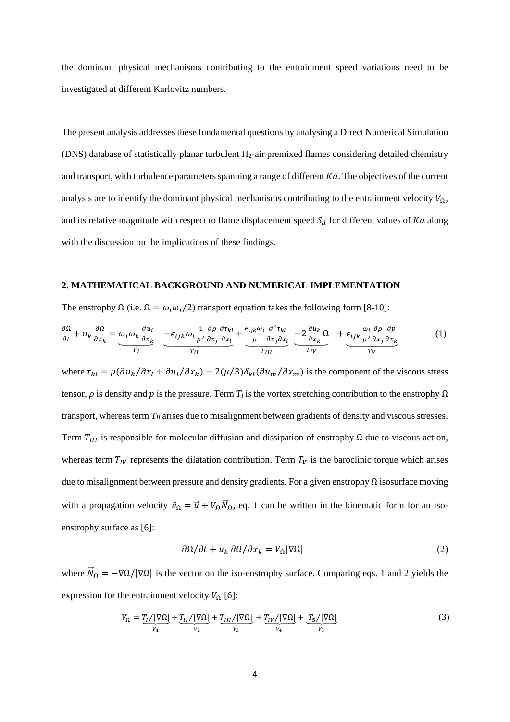the dominant physical mechanisms contributing to the entrainment speed variations need to be investigated at different Karlovitz numbers.

The present analysis addresses these fundamental questions by analysing a Direct Numerical Simulation (DNS) database of statistically planar turbulent H2-air premixed flames considering detailed chemistry and transport, with turbulence parameters spanning a range of different  $Ka$ . The objectives of the current analysis are to identify the dominant physical mechanisms contributing to the entrainment velocity  $V_{\Omega}$ , and its relative magnitude with respect to flame displacement speed  $S_d$  for different values of Ka along with the discussion on the implications of these findings.

#### **2. MATHEMATICAL BACKGROUND AND NUMERICAL IMPLEMENTATION**

The enstrophy  $\Omega$  (i.e.  $\Omega = \omega_i \omega_i / 2$ ) transport equation takes the following form [8-10]:

$$
\frac{\partial \Omega}{\partial t} + u_k \frac{\partial \Omega}{\partial x_k} = \underbrace{\omega_i \omega_k \frac{\partial u_i}{\partial x_k}}_{T_I} \underbrace{-\epsilon_{ijk} \omega_i \frac{1}{\rho^2} \frac{\partial \rho}{\partial x_j} \frac{\partial \tau_{kl}}{\partial x_l}}_{T_{II}} + \underbrace{\frac{\epsilon_{ijk} \omega_i}{\rho} \frac{\partial^2 \tau_{kl}}{\partial x_j \partial x_l}}_{T_{III}} \underbrace{-2 \frac{\partial u_k}{\partial x_k} \Omega}_{T_{IV}} + \underbrace{\epsilon_{ijk} \frac{\omega_i}{\rho^2} \frac{\partial \rho}{\partial x_j} \frac{\partial p}{\partial x_k}}_{T_{V}} \tag{1}
$$

where  $\tau_{kl} = \mu (\partial u_k / \partial x_l + \partial u_l / \partial x_k) - 2(\mu/3) \delta_{kl} (\partial u_m / \partial x_m)$  is the component of the viscous stress tensor,  $\rho$  is density and  $p$  is the pressure. Term  $T_I$  is the vortex stretching contribution to the enstrophy  $\Omega$ transport, whereas term  $T_{II}$  arises due to misalignment between gradients of density and viscous stresses. Term  $T_{III}$  is responsible for molecular diffusion and dissipation of enstrophy  $\Omega$  due to viscous action, whereas term  $T_{IV}$  represents the dilatation contribution. Term  $T_V$  is the baroclinic torque which arises due to misalignment between pressure and density gradients. For a given enstrophy  $\Omega$  isosurface moving with a propagation velocity  $\vec{v}_{\Omega} = \vec{u} + V_{\Omega} \vec{N}_{\Omega}$ , eq. 1 can be written in the kinematic form for an isoenstrophy surface as [6]:

$$
\frac{\partial \Omega}{\partial t} + u_k \frac{\partial \Omega}{\partial x_k} = V_\Omega |\nabla \Omega| \tag{2}
$$

where  $\vec{N}_{\Omega} = -\nabla \Omega / |\nabla \Omega|$  is the vector on the iso-enstrophy surface. Comparing eqs. 1 and 2 yields the expression for the entrainment velocity  $V_{\Omega}$  [6]:

$$
V_{\Omega} = \underbrace{T_I/|\nabla\Omega|}_{V_1} + \underbrace{T_{II}/|\nabla\Omega|}_{V_2} + \underbrace{T_{III}/|\nabla\Omega|}_{V_3} + \underbrace{T_{IV}/|\nabla\Omega|}_{V_4} + \underbrace{T_5/|\nabla\Omega|}_{V_5}
$$
 (3)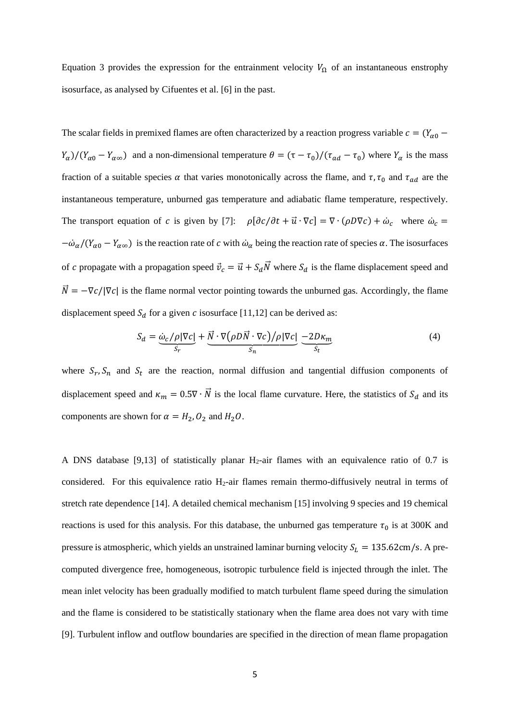Equation 3 provides the expression for the entrainment velocity  $V_{\Omega}$  of an instantaneous enstrophy isosurface, as analysed by Cifuentes et al. [6] in the past.

The scalar fields in premixed flames are often characterized by a reaction progress variable  $c = (Y_{\alpha 0} (Y_\alpha)/(Y_{\alpha 0} - Y_{\alpha \infty})$  and a non-dimensional temperature  $\theta = (\tau - \tau_0)/(\tau_{ad} - \tau_0)$  where  $Y_\alpha$  is the mass fraction of a suitable species  $\alpha$  that varies monotonically across the flame, and  $\tau$ ,  $\tau_0$  and  $\tau_{ad}$  are the instantaneous temperature, unburned gas temperature and adiabatic flame temperature, respectively. The transport equation of *c* is given by [7]:  $\rho[\partial c/\partial t + \vec{u} \cdot \nabla c] = \nabla \cdot (\rho D \nabla c) + \dot{\omega}_c$  where  $\dot{\omega}_c =$  $-\dot{\omega}_\alpha/(Y_{\alpha 0} - Y_{\alpha \infty})$  is the reaction rate of c with  $\dot{\omega}_\alpha$  being the reaction rate of species  $\alpha$ . The isosurfaces of c propagate with a propagation speed  $\vec{v}_c = \vec{u} + S_d \vec{N}$  where  $S_d$  is the flame displacement speed and  $\vec{N} = -\nabla c / |\nabla c|$  is the flame normal vector pointing towards the unburned gas. Accordingly, the flame displacement speed  $S_d$  for a given c isosurface [11,12] can be derived as:

$$
S_d = \underbrace{\dot{\omega}_c / \rho |\nabla c|}_{S_r} + \underbrace{\vec{N} \cdot \nabla (\rho D \vec{N} \cdot \nabla c) / \rho |\nabla c|}_{S_n} - 2D\kappa_m
$$
\n(4)

where  $S_r$ ,  $S_n$  and  $S_t$  are the reaction, normal diffusion and tangential diffusion components of displacement speed and  $\kappa_m = 0.5\nabla \cdot \vec{N}$  is the local flame curvature. Here, the statistics of  $S_d$  and its components are shown for  $\alpha = H_2, O_2$  and  $H_2O$ .

A DNS database [9,13] of statistically planar  $H_2$ -air flames with an equivalence ratio of 0.7 is considered. For this equivalence ratio  $H_2$ -air flames remain thermo-diffusively neutral in terms of stretch rate dependence [14]. A detailed chemical mechanism [15] involving 9 species and 19 chemical reactions is used for this analysis. For this database, the unburned gas temperature  $\tau_0$  is at 300K and pressure is atmospheric, which yields an unstrained laminar burning velocity  $S_L = 135.62 \text{cm/s}$ . A precomputed divergence free, homogeneous, isotropic turbulence field is injected through the inlet. The mean inlet velocity has been gradually modified to match turbulent flame speed during the simulation and the flame is considered to be statistically stationary when the flame area does not vary with time [9]. Turbulent inflow and outflow boundaries are specified in the direction of mean flame propagation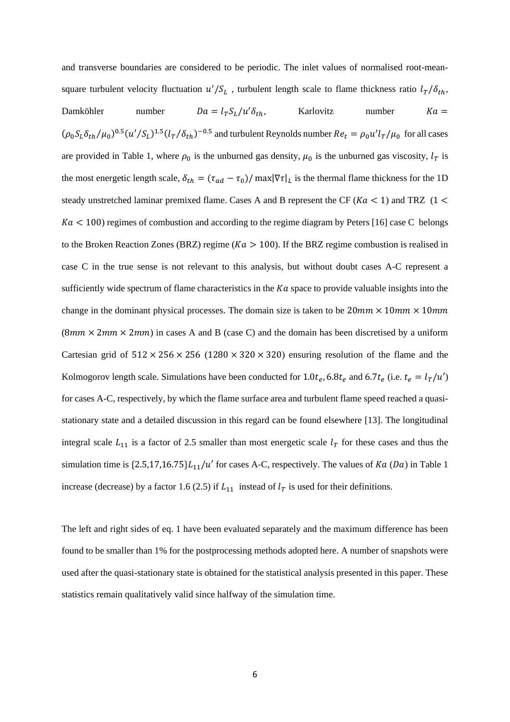and transverse boundaries are considered to be periodic. The inlet values of normalised root-meansquare turbulent velocity fluctuation  $u'/S_L$ , turbulent length scale to flame thickness ratio  $l_T/\delta_{th}$ , Damköhler number  $Da = l_T S_l/u' \delta_{th}$ , Karlovitz number  $Ka =$  $(\rho_0 S_L \delta_{th}/\mu_0)^{0.5} (u'/S_L)^{1.5} (l_T/\delta_{th})^{-0.5}$  and turbulent Reynolds number  $Re_t = \rho_0 u' l_T/\mu_0$  for all cases are provided in Table 1, where  $\rho_0$  is the unburned gas density,  $\mu_0$  is the unburned gas viscosity,  $l_T$  is the most energetic length scale,  $\delta_{th} = (\tau_{ad} - \tau_0) / \max |\nabla \tau|_L$  is the thermal flame thickness for the 1D steady unstretched laminar premixed flame. Cases A and B represent the CF ( $Ka < 1$ ) and TRZ (1 <  $Ka < 100$ ) regimes of combustion and according to the regime diagram by Peters [16] case C belongs to the Broken Reaction Zones (BRZ) regime ( $Ka > 100$ ). If the BRZ regime combustion is realised in case C in the true sense is not relevant to this analysis, but without doubt cases A-C represent a sufficiently wide spectrum of flame characteristics in the  $Ka$  space to provide valuable insights into the change in the dominant physical processes. The domain size is taken to be  $20mm \times 10mm \times 10mm$  $(8mm \times 2mm \times 2mm)$  in cases A and B (case C) and the domain has been discretised by a uniform Cartesian grid of  $512 \times 256 \times 256$  (1280  $\times$  320  $\times$  320) ensuring resolution of the flame and the Kolmogorov length scale. Simulations have been conducted for  $1.0t_e$ ,  $6.8t_e$  and  $6.7t_e$  (i.e.  $t_e = l_T/u'$ ) for cases A-C, respectively, by which the flame surface area and turbulent flame speed reached a quasistationary state and a detailed discussion in this regard can be found elsewhere [13]. The longitudinal integral scale  $L_{11}$  is a factor of 2.5 smaller than most energetic scale  $l_T$  for these cases and thus the simulation time is  $\{2.5,17,16.75\}L_{11}/u'$  for cases A-C, respectively. The values of  $Ka (Da)$  in Table 1 increase (decrease) by a factor 1.6 (2.5) if  $L_{11}$  instead of  $l_T$  is used for their definitions.

The left and right sides of eq. 1 have been evaluated separately and the maximum difference has been found to be smaller than 1% for the postprocessing methods adopted here. A number of snapshots were used after the quasi-stationary state is obtained for the statistical analysis presented in this paper. These statistics remain qualitatively valid since halfway of the simulation time.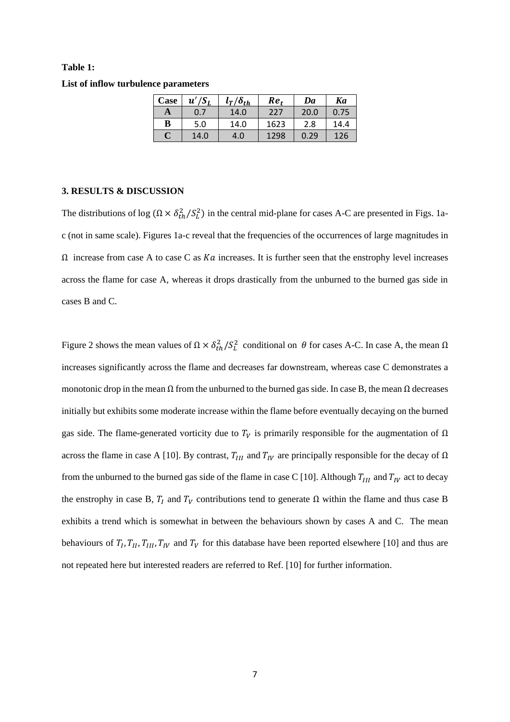## **Table 1: List of inflow turbulence parameters**

| Case | $u'/S_L$ | $l_T/\delta_{th}$ | Re,  | Da   | Ka   |
|------|----------|-------------------|------|------|------|
| A    | 0.7      | 14.0              | 227  | 20.0 | 0.75 |
| B    | 5.0      | 14.0              | 1623 | 2.8  | 14.4 |
| C    | 14.0     | 4.0               | 1298 | 0.29 | 126  |

#### **3. RESULTS & DISCUSSION**

The distributions of log  $(\Omega \times \delta_{th}^2 / S_L^2)$  in the central mid-plane for cases A-C are presented in Figs. 1ac (not in same scale). Figures 1a-c reveal that the frequencies of the occurrences of large magnitudes in  $\Omega$  increase from case A to case C as *Ka* increases. It is further seen that the enstrophy level increases across the flame for case A, whereas it drops drastically from the unburned to the burned gas side in cases B and C.

Figure 2 shows the mean values of  $\Omega \times \delta_{th}^2 / S_L^2$  conditional on θ for cases A-C. In case A, the mean  $\Omega$ increases significantly across the flame and decreases far downstream, whereas case C demonstrates a monotonic drop in the mean  $\Omega$  from the unburned to the burned gas side. In case B, the mean  $\Omega$  decreases initially but exhibits some moderate increase within the flame before eventually decaying on the burned gas side. The flame-generated vorticity due to  $T_V$  is primarily responsible for the augmentation of  $\Omega$ across the flame in case A [10]. By contrast,  $T_{III}$  and  $T_{IV}$  are principally responsible for the decay of  $\Omega$ from the unburned to the burned gas side of the flame in case C [10]. Although  $T_{III}$  and  $T_{IV}$  act to decay the enstrophy in case B,  $T_I$  and  $T_V$  contributions tend to generate  $\Omega$  within the flame and thus case B exhibits a trend which is somewhat in between the behaviours shown by cases A and C. The mean behaviours of  $T_I, T_{II}, T_{III}, T_{IV}$  and  $T_V$  for this database have been reported elsewhere [10] and thus are not repeated here but interested readers are referred to Ref. [10] for further information.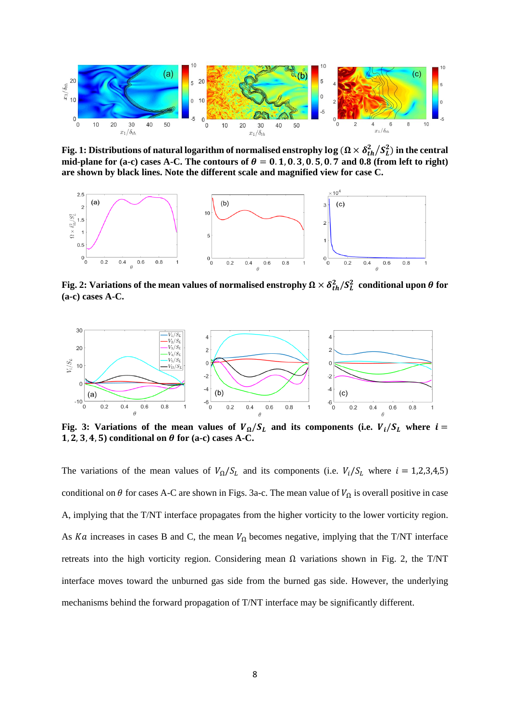

Fig. 1: Distributions of natural logarithm of normalised enstrophy  $\log$  ( $\Omega\times\delta_{th}^2/S_L^2$ ) in the central mid-plane for (a-c) cases A-C. The contours of  $\theta = 0.1, 0.3, 0.5, 0.7$  and 0.8 (from left to right) **are shown by black lines. Note the different scale and magnified view for case C.**



Fig. 2: Variations of the mean values of normalised enstrophy  $\Omega \times \delta_{th}^2/S_L^2$  conditional upon  $\theta$  for **(a-c) cases A-C.**



Fig. 3: Variations of the mean values of  $V_{\Omega}/S_L$  and its components (i.e.  $V_i/S_L$  where  $i =$ 1, 2, 3, 4, 5) conditional on  $\theta$  for (a-c) cases A-C.

The variations of the mean values of  $V_{\Omega}/S_L$  and its components (i.e.  $V_i/S_L$  where  $i = 1,2,3,4,5$ ) conditional on  $\theta$  for cases A-C are shown in Figs. 3a-c. The mean value of  $V_{\Omega}$  is overall positive in case A, implying that the T/NT interface propagates from the higher vorticity to the lower vorticity region. As Ka increases in cases B and C, the mean  $V_{\Omega}$  becomes negative, implying that the T/NT interface retreats into the high vorticity region. Considering mean  $\Omega$  variations shown in Fig. 2, the T/NT interface moves toward the unburned gas side from the burned gas side. However, the underlying mechanisms behind the forward propagation of T/NT interface may be significantly different.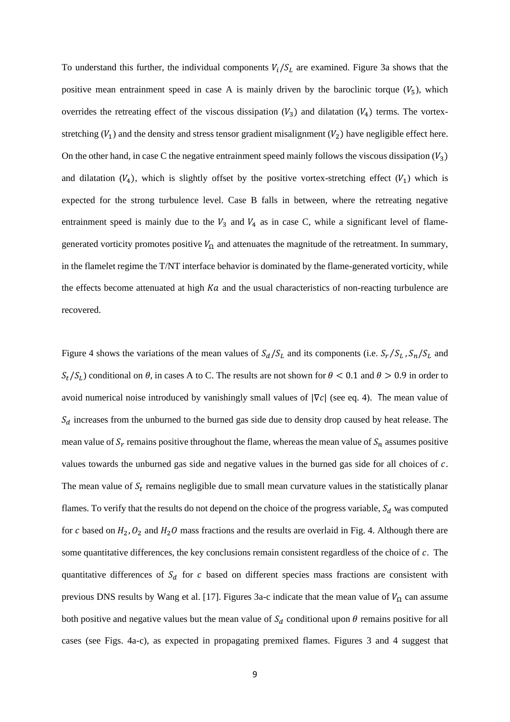To understand this further, the individual components  $V_i/S_L$  are examined. Figure 3a shows that the positive mean entrainment speed in case A is mainly driven by the baroclinic torque  $(V_5)$ , which overrides the retreating effect of the viscous dissipation  $(V_3)$  and dilatation  $(V_4)$  terms. The vortexstretching  $(V_1)$  and the density and stress tensor gradient misalignment  $(V_2)$  have negligible effect here. On the other hand, in case C the negative entrainment speed mainly follows the viscous dissipation  $(V_3)$ and dilatation  $(V_4)$ , which is slightly offset by the positive vortex-stretching effect  $(V_1)$  which is expected for the strong turbulence level. Case B falls in between, where the retreating negative entrainment speed is mainly due to the  $V_3$  and  $V_4$  as in case C, while a significant level of flamegenerated vorticity promotes positive  $V_{\Omega}$  and attenuates the magnitude of the retreatment. In summary, in the flamelet regime the T/NT interface behavior is dominated by the flame-generated vorticity, while the effects become attenuated at high  $Ka$  and the usual characteristics of non-reacting turbulence are recovered.

Figure 4 shows the variations of the mean values of  $S_d/S_L$  and its components (i.e.  $S_r/S_L$ ,  $S_n/S_L$  and  $S_t/S_t$ ) conditional on  $\theta$ , in cases A to C. The results are not shown for  $\theta < 0.1$  and  $\theta > 0.9$  in order to avoid numerical noise introduced by vanishingly small values of  $|\nabla c|$  (see eq. 4). The mean value of  $S_d$  increases from the unburned to the burned gas side due to density drop caused by heat release. The mean value of  $S_r$  remains positive throughout the flame, whereas the mean value of  $S_n$  assumes positive values towards the unburned gas side and negative values in the burned gas side for all choices of  $c$ . The mean value of  $S_t$  remains negligible due to small mean curvature values in the statistically planar flames. To verify that the results do not depend on the choice of the progress variable,  $S_d$  was computed for c based on  $H_2$ ,  $O_2$  and  $H_2O$  mass fractions and the results are overlaid in Fig. 4. Although there are some quantitative differences, the key conclusions remain consistent regardless of the choice of  $c$ . The quantitative differences of  $S_d$  for c based on different species mass fractions are consistent with previous DNS results by Wang et al. [17]. Figures 3a-c indicate that the mean value of  $V_{\Omega}$  can assume both positive and negative values but the mean value of  $S_d$  conditional upon  $\theta$  remains positive for all cases (see Figs. 4a-c), as expected in propagating premixed flames. Figures 3 and 4 suggest that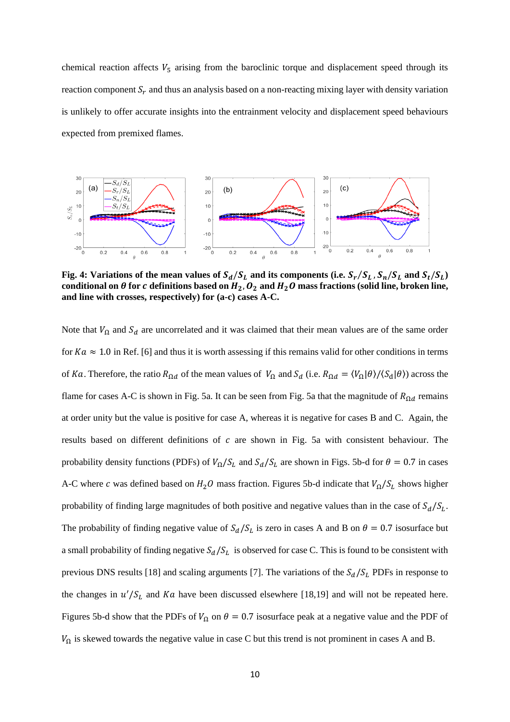chemical reaction affects  $V_5$  arising from the baroclinic torque and displacement speed through its reaction component  $S_r$  and thus an analysis based on a non-reacting mixing layer with density variation is unlikely to offer accurate insights into the entrainment velocity and displacement speed behaviours expected from premixed flames.



Fig. 4: Variations of the mean values of  $S_d/S_L$  and its components (i.e.  $S_r/S_L$  ,  $S_n/S_L$  and  $S_t/S_L$ ) conditional on  $\theta$  for  $c$  definitions based on  $H_2$ ,  $O_2$  and  $H_2O$  mass fractions (solid line, broken line, **and line with crosses, respectively) for (a-c) cases A-C.**

Note that  $V_{\Omega}$  and  $S_d$  are uncorrelated and it was claimed that their mean values are of the same order for  $Ka \approx 1.0$  in Ref. [6] and thus it is worth assessing if this remains valid for other conditions in terms of Ka. Therefore, the ratio  $R_{\Omega d}$  of the mean values of  $V_{\Omega}$  and  $S_d$  (i.e.  $R_{\Omega d} = \langle V_{\Omega} | \theta \rangle / \langle S_d | \theta \rangle$ ) across the flame for cases A-C is shown in Fig. 5a. It can be seen from Fig. 5a that the magnitude of  $R_{\Omega d}$  remains at order unity but the value is positive for case A, whereas it is negative for cases B and C. Again, the results based on different definitions of  $c$  are shown in Fig. 5a with consistent behaviour. The probability density functions (PDFs) of  $V_{\Omega}/S_L$  and  $S_d/S_L$  are shown in Figs. 5b-d for  $\theta = 0.7$  in cases A-C where c was defined based on  $H_2O$  mass fraction. Figures 5b-d indicate that  $V_\Omega/S_L$  shows higher probability of finding large magnitudes of both positive and negative values than in the case of  $S_d/S_L$ . The probability of finding negative value of  $S_d/S_L$  is zero in cases A and B on  $\theta = 0.7$  isosurface but a small probability of finding negative  $S_d/S_L$  is observed for case C. This is found to be consistent with previous DNS results [18] and scaling arguments [7]. The variations of the  $S_d/S_L$  PDFs in response to the changes in  $u'/S_L$  and Ka have been discussed elsewhere [18,19] and will not be repeated here. Figures 5b-d show that the PDFs of  $V_{\Omega}$  on  $\theta = 0.7$  isosurface peak at a negative value and the PDF of  $V_{\Omega}$  is skewed towards the negative value in case C but this trend is not prominent in cases A and B.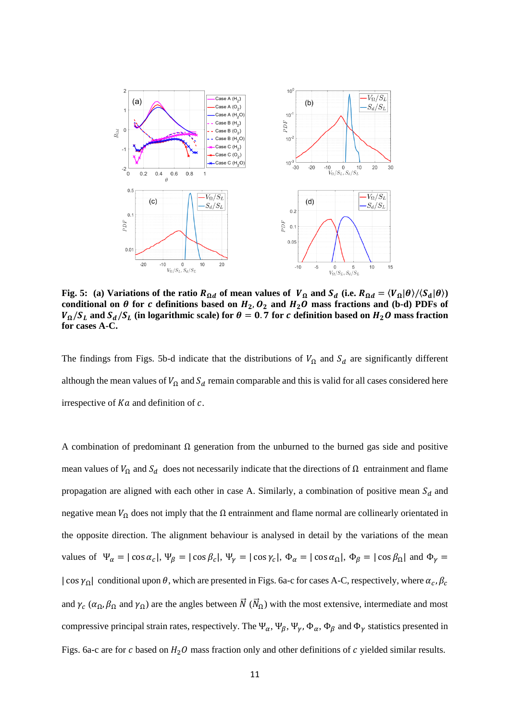

**Fig. 5:** (a) Variations of the ratio  $R_{\Omega d}$  of mean values of  $V_{\Omega}$  and  $S_d$  (i.e.  $R_{\Omega d} = \langle V_{\Omega} | \theta \rangle / \langle S_d | \theta \rangle$ ) conditional on  $\theta$  for c definitions based on  $H_2$ ,  $O_2$  and  $H_2O$  mass fractions and (b-d) PDFs of  $V_{\Omega}/S_L$  and  $S_d/S_L$  (in logarithmic scale) for  $\theta = 0.7$  for *c* definition based on  $H_2O$  mass fraction **for cases A-C.**

The findings from Figs. 5b-d indicate that the distributions of  $V_{\Omega}$  and  $S_d$  are significantly different although the mean values of  $V_{\Omega}$  and  $S_d$  remain comparable and this is valid for all cases considered here irrespective of  $Ka$  and definition of  $c$ .

A combination of predominant  $\Omega$  generation from the unburned to the burned gas side and positive mean values of  $V_{\Omega}$  and  $S_d$  does not necessarily indicate that the directions of  $\Omega$  entrainment and flame propagation are aligned with each other in case A. Similarly, a combination of positive mean  $S_d$  and negative mean  $V_{\Omega}$  does not imply that the  $\Omega$  entrainment and flame normal are collinearly orientated in the opposite direction. The alignment behaviour is analysed in detail by the variations of the mean values of  $\Psi_{\alpha} = |\cos \alpha_c|$ ,  $\Psi_{\beta} = |\cos \beta_c|$ ,  $\Psi_{\gamma} = |\cos \gamma_c|$ ,  $\Phi_{\alpha} = |\cos \alpha_{\Omega}|$ ,  $\Phi_{\beta} = |\cos \beta_{\Omega}|$  and  $\Phi_{\gamma} =$  $|\cos \gamma_{\Omega}|$  conditional upon  $\theta$ , which are presented in Figs. 6a-c for cases A-C, respectively, where  $\alpha_c$ ,  $\beta_c$ and  $\gamma_c$  ( $\alpha_\Omega$ ,  $\beta_\Omega$  and  $\gamma_\Omega$ ) are the angles between  $\vec{N}$  ( $\vec{N}_\Omega$ ) with the most extensive, intermediate and most compressive principal strain rates, respectively. The  $\Psi_{\alpha}$ ,  $\Psi_{\beta}$ ,  $\Psi_{\gamma}$ ,  $\Phi_{\alpha}$ ,  $\Phi_{\beta}$  and  $\Phi_{\gamma}$  statistics presented in Figs. 6a-c are for  $c$  based on  $H_2O$  mass fraction only and other definitions of  $c$  yielded similar results.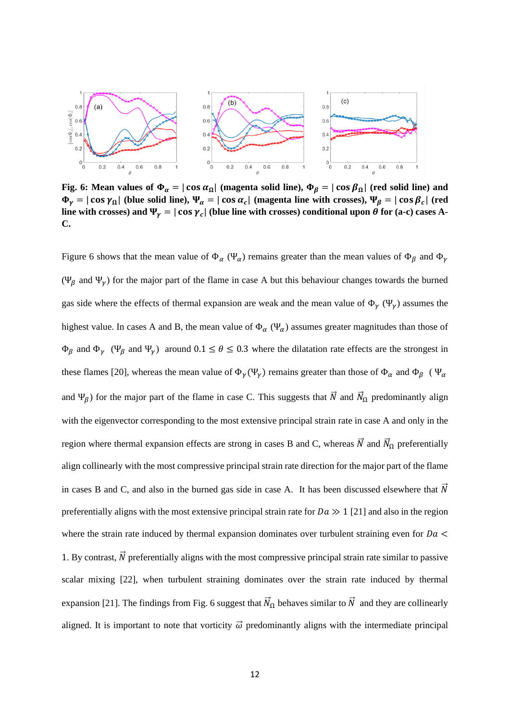

**Fig. 6:** Mean values of  $\Phi_{\alpha} = |\cos \alpha_{\Omega}|$  (magenta solid line),  $\Phi_{\beta} = |\cos \beta_{\Omega}|$  (red solid line) and  $\Phi_{\gamma} = |\cos \gamma_{\Omega}|$  (blue solid line),  $\Psi_{\alpha} = |\cos \alpha_{c}|$  (magenta line with crosses),  $\Psi_{\beta} = |\cos \beta_{c}|$  (red line with crosses) and  $\Psi_{\gamma} = |\cos \gamma_c|$  (blue line with crosses) conditional upon  $\theta$  for (a-c) cases A-**C.** 

Figure 6 shows that the mean value of  $\Phi_{\alpha}$  ( $\Psi_{\alpha}$ ) remains greater than the mean values of  $\Phi_{\beta}$  and  $\Phi_{\gamma}$ (Ψ<sub>β</sub> and Ψ<sub>ν</sub>) for the major part of the flame in case A but this behaviour changes towards the burned gas side where the effects of thermal expansion are weak and the mean value of  $\Phi_{\gamma}(\Psi_{\gamma})$  assumes the highest value. In cases A and B, the mean value of  $\Phi_{\alpha}(\Psi_{\alpha})$  assumes greater magnitudes than those of  $\Phi_\beta$  and  $\Phi_\gamma$  ( $\Psi_\beta$  and  $\Psi_\gamma$ ) around  $0.1 \le \theta \le 0.3$  where the dilatation rate effects are the strongest in these flames [20], whereas the mean value of  $\Phi_{\gamma}(\Psi_{\gamma})$  remains greater than those of  $\Phi_{\alpha}$  and  $\Phi_{\beta}$  ( $\Psi_{\alpha}$ ) and  $\Psi_{\beta}$ ) for the major part of the flame in case C. This suggests that  $\vec{N}$  and  $\vec{N}_{\Omega}$  predominantly align with the eigenvector corresponding to the most extensive principal strain rate in case A and only in the region where thermal expansion effects are strong in cases B and C, whereas  $\vec{N}$  and  $\vec{N}_{\Omega}$  preferentially align collinearly with the most compressive principal strain rate direction for the major part of the flame in cases B and C, and also in the burned gas side in case A. It has been discussed elsewhere that  $\vec{N}$ preferentially aligns with the most extensive principal strain rate for  $Da \gg 1$  [21] and also in the region where the strain rate induced by thermal expansion dominates over turbulent straining even for  $Da <$ 1. By contrast,  $\vec{N}$  preferentially aligns with the most compressive principal strain rate similar to passive scalar mixing [22], when turbulent straining dominates over the strain rate induced by thermal expansion [21]. The findings from Fig. 6 suggest that  $\vec{N}_{\Omega}$  behaves similar to  $\vec{N}$  and they are collinearly aligned. It is important to note that vorticity  $\vec{\omega}$  predominantly aligns with the intermediate principal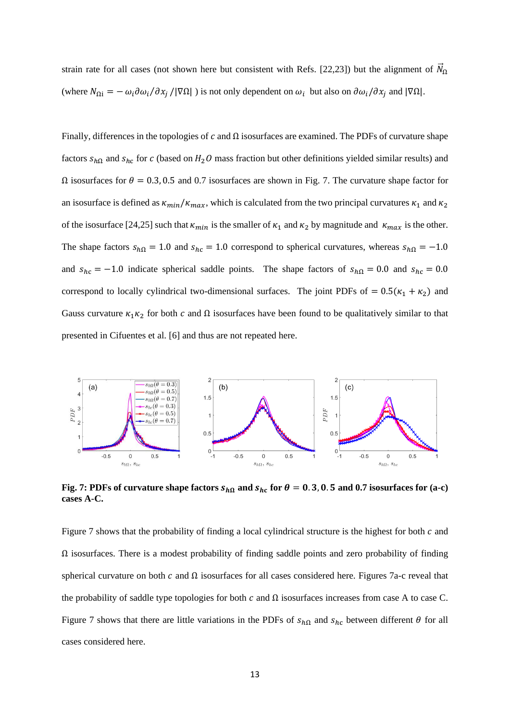strain rate for all cases (not shown here but consistent with Refs. [22,23]) but the alignment of  $\bar{N}_{\Omega}$ (where  $N_{\Omega i} = -\omega_i \partial \omega_i / \partial x_i / |\nabla \Omega|$ ) is not only dependent on  $\omega_i$  but also on  $\partial \omega_i / \partial x_i$  and  $|\nabla \Omega|$ .

Finally, differences in the topologies of c and  $\Omega$  isosurfaces are examined. The PDFs of curvature shape factors  $s_{h\Omega}$  and  $s_{hc}$  for c (based on  $H_2O$  mass fraction but other definitions yielded similar results) and  $Ω$  isosurfaces for  $θ = 0.3, 0.5$  and 0.7 isosurfaces are shown in Fig. 7. The curvature shape factor for an isosurface is defined as  $\kappa_{min}/\kappa_{max}$ , which is calculated from the two principal curvatures  $\kappa_1$  and  $\kappa_2$ of the isosurface [24,25] such that  $\kappa_{min}$  is the smaller of  $\kappa_1$  and  $\kappa_2$  by magnitude and  $\kappa_{max}$  is the other. The shape factors  $s_{h\Omega} = 1.0$  and  $s_{hc} = 1.0$  correspond to spherical curvatures, whereas  $s_{h\Omega} = -1.0$ and  $s_{hc} = -1.0$  indicate spherical saddle points. The shape factors of  $s_{h\Omega} = 0.0$  and  $s_{hc} = 0.0$ correspond to locally cylindrical two-dimensional surfaces. The joint PDFs of =  $0.5(\kappa_1 + \kappa_2)$  and Gauss curvature  $\kappa_1 \kappa_2$  for both c and  $\Omega$  isosurfaces have been found to be qualitatively similar to that presented in Cifuentes et al. [6] and thus are not repeated here.



Fig. 7: PDFs of curvature shape factors  $s_{h\Omega}$  and  $s_{hc}$  for  $\theta = 0.3, 0.5$  and 0.7 isosurfaces for (a-c) **cases A-C.**

Figure 7 shows that the probability of finding a local cylindrical structure is the highest for both  $c$  and  $\Omega$  isosurfaces. There is a modest probability of finding saddle points and zero probability of finding spherical curvature on both  $c$  and  $\Omega$  isosurfaces for all cases considered here. Figures 7a-c reveal that the probability of saddle type topologies for both  $c$  and  $\Omega$  isosurfaces increases from case A to case C. Figure 7 shows that there are little variations in the PDFs of  $s_{h\Omega}$  and  $s_{hc}$  between different  $\theta$  for all cases considered here.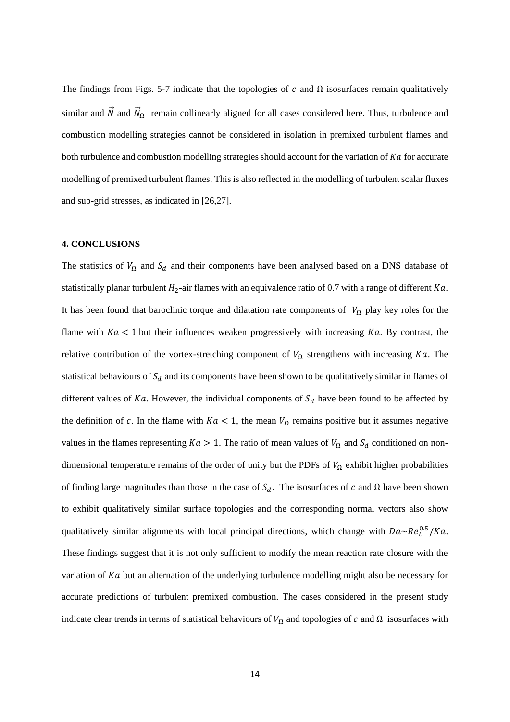The findings from Figs. 5-7 indicate that the topologies of  $c$  and  $\Omega$  isosurfaces remain qualitatively similar and  $\vec{N}$  and  $\vec{N}_{\Omega}$  remain collinearly aligned for all cases considered here. Thus, turbulence and combustion modelling strategies cannot be considered in isolation in premixed turbulent flames and both turbulence and combustion modelling strategies should account for the variation of  $Ka$  for accurate modelling of premixed turbulent flames. This is also reflected in the modelling of turbulent scalar fluxes and sub-grid stresses, as indicated in [26,27].

#### **4. CONCLUSIONS**

The statistics of  $V_{\Omega}$  and  $S_d$  and their components have been analysed based on a DNS database of statistically planar turbulent  $H_2$ -air flames with an equivalence ratio of 0.7 with a range of different  $Ka$ . It has been found that baroclinic torque and dilatation rate components of  $V_{\Omega}$  play key roles for the flame with  $Ka < 1$  but their influences weaken progressively with increasing  $Ka$ . By contrast, the relative contribution of the vortex-stretching component of  $V_{\Omega}$  strengthens with increasing Ka. The statistical behaviours of  $S_d$  and its components have been shown to be qualitatively similar in flames of different values of  $Ka$ . However, the individual components of  $S_d$  have been found to be affected by the definition of c. In the flame with  $Ka < 1$ , the mean  $V_{\Omega}$  remains positive but it assumes negative values in the flames representing  $Ka > 1$ . The ratio of mean values of  $V_{\Omega}$  and  $S_d$  conditioned on nondimensional temperature remains of the order of unity but the PDFs of  $V_{\Omega}$  exhibit higher probabilities of finding large magnitudes than those in the case of  $S_d$ . The isosurfaces of c and  $\Omega$  have been shown to exhibit qualitatively similar surface topologies and the corresponding normal vectors also show qualitatively similar alignments with local principal directions, which change with  $Da \sim Re_t^{0.5}/Ka$ . These findings suggest that it is not only sufficient to modify the mean reaction rate closure with the variation of  $Ka$  but an alternation of the underlying turbulence modelling might also be necessary for accurate predictions of turbulent premixed combustion. The cases considered in the present study indicate clear trends in terms of statistical behaviours of  $V_{\Omega}$  and topologies of c and  $\Omega$  isosurfaces with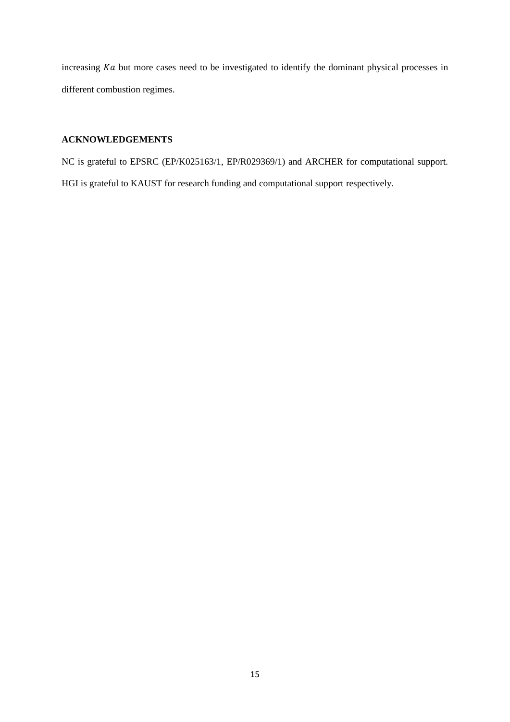increasing  $Ka$  but more cases need to be investigated to identify the dominant physical processes in different combustion regimes.

### **ACKNOWLEDGEMENTS**

NC is grateful to EPSRC (EP/K025163/1, EP/R029369/1) and ARCHER for computational support. HGI is grateful to KAUST for research funding and computational support respectively.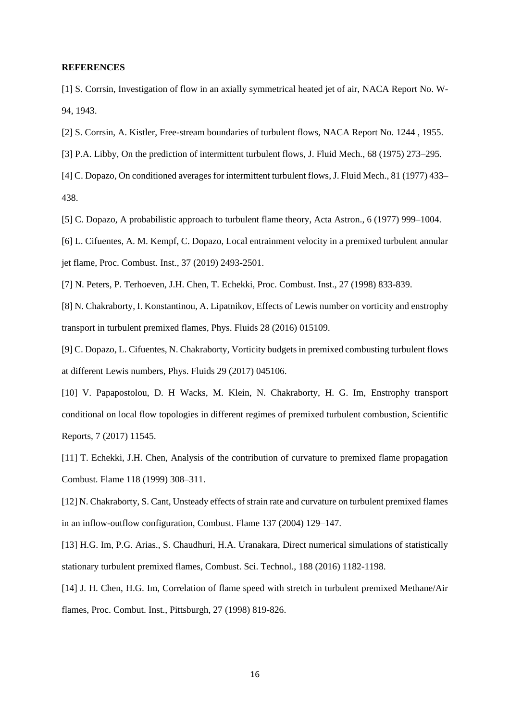#### **REFERENCES**

[1] S. Corrsin, Investigation of flow in an axially symmetrical heated jet of air, NACA Report No. W-94, 1943.

[2] S. Corrsin, A. Kistler, Free-stream boundaries of turbulent flows, NACA Report No. 1244 , 1955.

[3] P.A. Libby, On the prediction of intermittent turbulent flows, J. Fluid Mech., 68 (1975) 273–295.

[4] C. Dopazo, On conditioned averages for intermittent turbulent flows, J. Fluid Mech., 81 (1977) 433– 438.

[5] C. Dopazo, A probabilistic approach to turbulent flame theory, Acta Astron., 6 (1977) 999–1004.

[6] L. Cifuentes, A. M. Kempf, C. Dopazo, Local entrainment velocity in a premixed turbulent annular jet flame, Proc. Combust. Inst., 37 (2019) 2493-2501.

[7] N. Peters, P. Terhoeven, J.H. Chen, T. Echekki, Proc. Combust. Inst., 27 (1998) 833-839.

[8] N. Chakraborty, I. Konstantinou, A. Lipatnikov, Effects of Lewis number on vorticity and enstrophy transport in turbulent premixed flames, Phys. Fluids 28 (2016) 015109.

[9] C. Dopazo, L. Cifuentes, N. Chakraborty, Vorticity budgets in premixed combusting turbulent flows at different Lewis numbers, Phys. Fluids 29 (2017) 045106.

[10] V. Papapostolou, D. H Wacks, M. Klein, N. Chakraborty, H. G. Im, Enstrophy transport conditional on local flow topologies in different regimes of premixed turbulent combustion, Scientific Reports, 7 (2017) 11545.

[11] T. Echekki, J.H. Chen, Analysis of the contribution of curvature to premixed flame propagation Combust. Flame 118 (1999) 308–311.

[12] N. Chakraborty, S. Cant, Unsteady effects of strain rate and curvature on turbulent premixed flames in an inflow-outflow configuration, Combust. Flame 137 (2004) 129–147.

[13] H.G. Im, P.G. Arias., S. Chaudhuri, H.A. Uranakara, Direct numerical simulations of statistically stationary turbulent premixed flames, Combust. Sci. Technol., 188 (2016) 1182-1198.

[14] J. H. Chen, H.G. Im, Correlation of flame speed with stretch in turbulent premixed Methane/Air flames, Proc. Combut. Inst., Pittsburgh, 27 (1998) 819-826.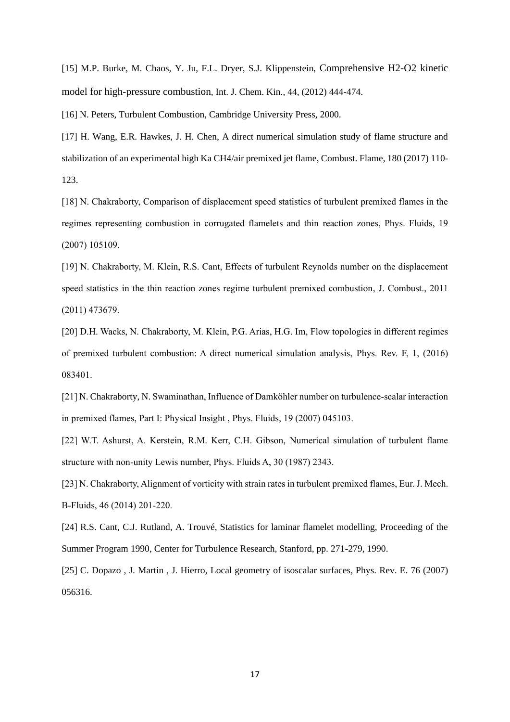[15] M.P. Burke, M. Chaos, Y. Ju, F.L. Dryer, S.J. Klippenstein, Comprehensive H2-O2 kinetic model for high-pressure combustion, Int. J. Chem. Kin., 44, (2012) 444-474.

[16] N. Peters, Turbulent Combustion, Cambridge University Press, 2000.

[17] H. Wang, E.R. Hawkes, J. H. Chen, A direct numerical simulation study of flame structure and stabilization of an experimental high Ka CH4/air premixed jet flame, Combust. Flame, 180 (2017) 110- 123.

[18] N. Chakraborty, Comparison of displacement speed statistics of turbulent premixed flames in the regimes representing combustion in corrugated flamelets and thin reaction zones, Phys. Fluids, 19 (2007) 105109.

[19] N. Chakraborty, M. Klein, R.S. Cant, Effects of turbulent Reynolds number on the displacement speed statistics in the thin reaction zones regime turbulent premixed combustion, J. Combust., 2011 (2011) 473679.

[20] D.H. Wacks, N. Chakraborty, M. Klein, P.G. Arias, H.G. Im, Flow topologies in different regimes of premixed turbulent combustion: A direct numerical simulation analysis, Phys. Rev. F, 1, (2016) 083401.

[21] N. Chakraborty, N. Swaminathan, Influence of Damköhler number on turbulence-scalar interaction in premixed flames, Part I: Physical Insight , Phys. Fluids, 19 (2007) 045103.

[22] W.T. Ashurst, A. Kerstein, R.M. Kerr, C.H. Gibson, Numerical simulation of turbulent flame structure with non-unity Lewis number, Phys. Fluids A, 30 (1987) 2343.

[23] N. Chakraborty, Alignment of vorticity with strain rates in turbulent premixed flames, Eur. J. Mech. B-Fluids, 46 (2014) 201-220.

[24] R.S. Cant, C.J. Rutland, A. Trouvé, Statistics for laminar flamelet modelling, Proceeding of the Summer Program 1990, Center for Turbulence Research, Stanford, pp. 271-279, 1990.

[25] C. Dopazo , J. Martin , J. Hierro, Local geometry of isoscalar surfaces, Phys. Rev. E. 76 (2007) 056316.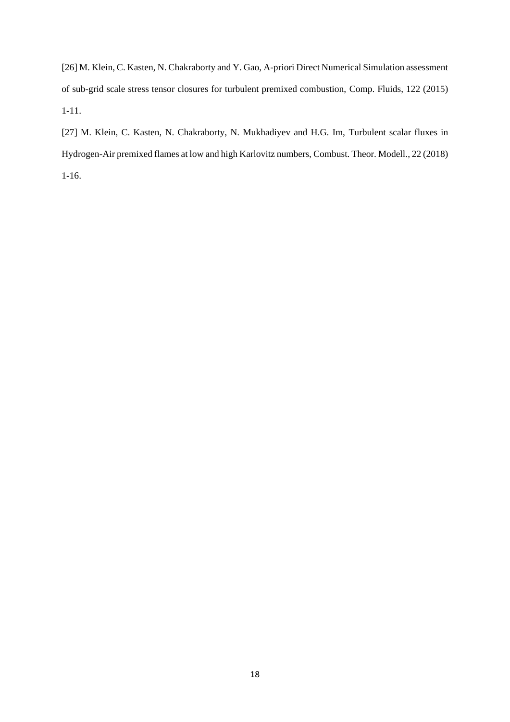[26] M. Klein, C. Kasten, N. Chakraborty and Y. Gao, A-priori Direct Numerical Simulation assessment of sub-grid scale stress tensor closures for turbulent premixed combustion, Comp. Fluids, 122 (2015) 1-11.

[27] M. Klein, C. Kasten, N. Chakraborty, N. Mukhadiyev and H.G. Im, Turbulent scalar fluxes in Ηydrogen-Air premixed flames at low and high Karlovitz numbers, Combust. Theor. Modell., 22 (2018) 1-16.